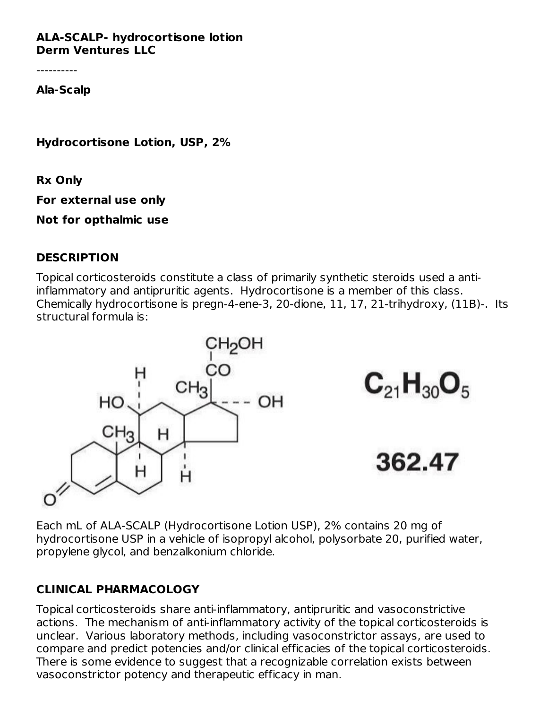**ALA-SCALP- hydrocortisone lotion Derm Ventures LLC**

----------

**Ala-Scalp**

**Hydrocortisone Lotion, USP, 2%**

**Rx Only**

**For external use only**

**Not for opthalmic use**

#### **DESCRIPTION**

Topical corticosteroids constitute a class of primarily synthetic steroids used a antiinflammatory and antipruritic agents. Hydrocortisone is a member of this class. Chemically hydrocortisone is pregn-4-ene-3, 20-dione, 11, 17, 21-trihydroxy, (11Β)-. Its structural formula is:



Each mL of ALA-SCALP (Hydrocortisone Lotion USP), 2% contains 20 mg of hydrocortisone USP in a vehicle of isopropyl alcohol, polysorbate 20, purified water, propylene glycol, and benzalkonium chloride.

#### **CLINICAL PHARMACOLOGY**

Topical corticosteroids share anti-inflammatory, antipruritic and vasoconstrictive actions. The mechanism of anti-inflammatory activity of the topical corticosteroids is unclear. Various laboratory methods, including vasoconstrictor assays, are used to compare and predict potencies and/or clinical efficacies of the topical corticosteroids. There is some evidence to suggest that a recognizable correlation exists between vasoconstrictor potency and therapeutic efficacy in man.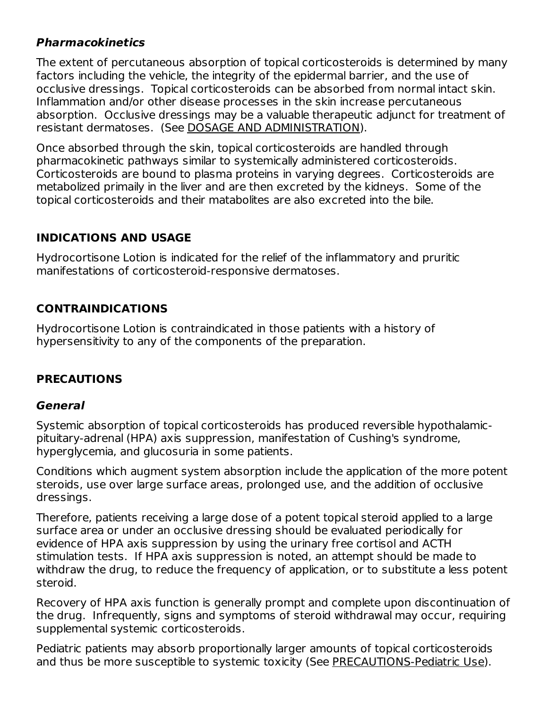## **Pharmacokinetics**

The extent of percutaneous absorption of topical corticosteroids is determined by many factors including the vehicle, the integrity of the epidermal barrier, and the use of occlusive dressings. Topical corticosteroids can be absorbed from normal intact skin. Inflammation and/or other disease processes in the skin increase percutaneous absorption. Occlusive dressings may be a valuable therapeutic adjunct for treatment of resistant dermatoses. (See DOSAGE AND ADMINISTRATION).

Once absorbed through the skin, topical corticosteroids are handled through pharmacokinetic pathways similar to systemically administered corticosteroids. Corticosteroids are bound to plasma proteins in varying degrees. Corticosteroids are metabolized primaily in the liver and are then excreted by the kidneys. Some of the topical corticosteroids and their matabolites are also excreted into the bile.

## **INDICATIONS AND USAGE**

Hydrocortisone Lotion is indicated for the relief of the inflammatory and pruritic manifestations of corticosteroid-responsive dermatoses.

## **CONTRAINDICATIONS**

Hydrocortisone Lotion is contraindicated in those patients with a history of hypersensitivity to any of the components of the preparation.

# **PRECAUTIONS**

#### **General**

Systemic absorption of topical corticosteroids has produced reversible hypothalamicpituitary-adrenal (HPA) axis suppression, manifestation of Cushing's syndrome, hyperglycemia, and glucosuria in some patients.

Conditions which augment system absorption include the application of the more potent steroids, use over large surface areas, prolonged use, and the addition of occlusive dressings.

Therefore, patients receiving a large dose of a potent topical steroid applied to a large surface area or under an occlusive dressing should be evaluated periodically for evidence of HPA axis suppression by using the urinary free cortisol and ACTH stimulation tests. If HPA axis suppression is noted, an attempt should be made to withdraw the drug, to reduce the frequency of application, or to substitute a less potent steroid.

Recovery of HPA axis function is generally prompt and complete upon discontinuation of the drug. Infrequently, signs and symptoms of steroid withdrawal may occur, requiring supplemental systemic corticosteroids.

Pediatric patients may absorb proportionally larger amounts of topical corticosteroids and thus be more susceptible to systemic toxicity (See PRECAUTIONS-Pediatric Use).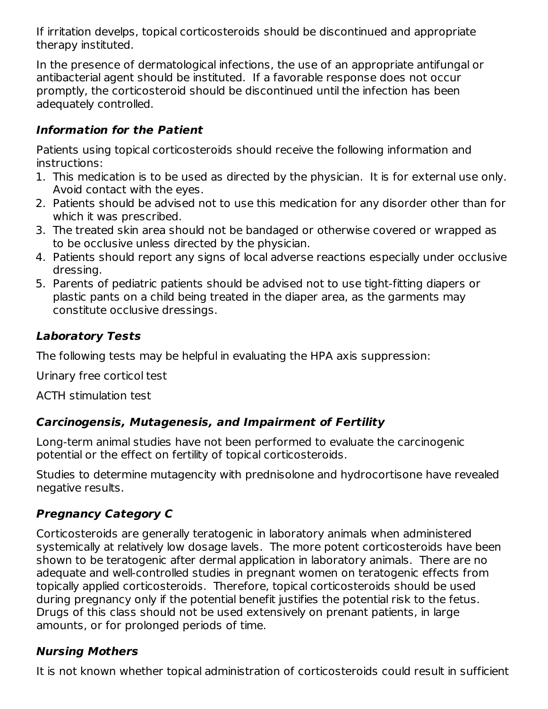If irritation develps, topical corticosteroids should be discontinued and appropriate therapy instituted.

In the presence of dermatological infections, the use of an appropriate antifungal or antibacterial agent should be instituted. If a favorable response does not occur promptly, the corticosteroid should be discontinued until the infection has been adequately controlled.

## **Information for the Patient**

Patients using topical corticosteroids should receive the following information and instructions:

- 1. This medication is to be used as directed by the physician. It is for external use only. Avoid contact with the eyes.
- 2. Patients should be advised not to use this medication for any disorder other than for which it was prescribed.
- 3. The treated skin area should not be bandaged or otherwise covered or wrapped as to be occlusive unless directed by the physician.
- 4. Patients should report any signs of local adverse reactions especially under occlusive dressing.
- 5. Parents of pediatric patients should be advised not to use tight-fitting diapers or plastic pants on a child being treated in the diaper area, as the garments may constitute occlusive dressings.

# **Laboratory Tests**

The following tests may be helpful in evaluating the HPA axis suppression:

Urinary free corticol test

ACTH stimulation test

# **Carcinogensis, Mutagenesis, and Impairment of Fertility**

Long-term animal studies have not been performed to evaluate the carcinogenic potential or the effect on fertility of topical corticosteroids.

Studies to determine mutagencity with prednisolone and hydrocortisone have revealed negative results.

# **Pregnancy Category C**

Corticosteroids are generally teratogenic in laboratory animals when administered systemically at relatively low dosage lavels. The more potent corticosteroids have been shown to be teratogenic after dermal application in laboratory animals. There are no adequate and well-controlled studies in pregnant women on teratogenic effects from topically applied corticosteroids. Therefore, topical corticosteroids should be used during pregnancy only if the potential benefit justifies the potential risk to the fetus. Drugs of this class should not be used extensively on prenant patients, in large amounts, or for prolonged periods of time.

# **Nursing Mothers**

It is not known whether topical administration of corticosteroids could result in sufficient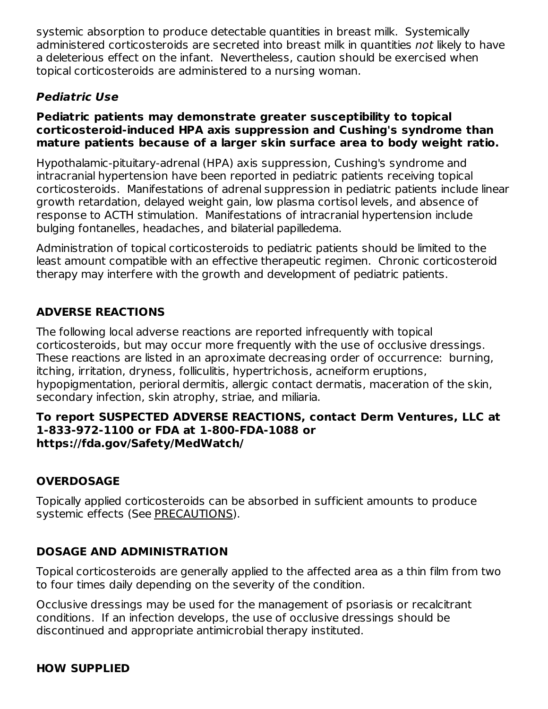systemic absorption to produce detectable quantities in breast milk. Systemically administered corticosteroids are secreted into breast milk in quantities not likely to have a deleterious effect on the infant. Nevertheless, caution should be exercised when topical corticosteroids are administered to a nursing woman.

## **Pediatric Use**

#### **Pediatric patients may demonstrate greater susceptibility to topical corticosteroid-induced HPA axis suppression and Cushing's syndrome than mature patients because of a larger skin surface area to body weight ratio.**

Hypothalamic-pituitary-adrenal (HPA) axis suppression, Cushing's syndrome and intracranial hypertension have been reported in pediatric patients receiving topical corticosteroids. Manifestations of adrenal suppression in pediatric patients include linear growth retardation, delayed weight gain, low plasma cortisol levels, and absence of response to ACTH stimulation. Manifestations of intracranial hypertension include bulging fontanelles, headaches, and bilaterial papilledema.

Administration of topical corticosteroids to pediatric patients should be limited to the least amount compatible with an effective therapeutic regimen. Chronic corticosteroid therapy may interfere with the growth and development of pediatric patients.

## **ADVERSE REACTIONS**

The following local adverse reactions are reported infrequently with topical corticosteroids, but may occur more frequently with the use of occlusive dressings. These reactions are listed in an aproximate decreasing order of occurrence: burning, itching, irritation, dryness, folliculitis, hypertrichosis, acneiform eruptions, hypopigmentation, perioral dermitis, allergic contact dermatis, maceration of the skin, secondary infection, skin atrophy, striae, and miliaria.

#### **To report SUSPECTED ADVERSE REACTIONS, contact Derm Ventures, LLC at 1-833-972-1100 or FDA at 1-800-FDA-1088 or https://fda.gov/Safety/MedWatch/**

#### **OVERDOSAGE**

Topically applied corticosteroids can be absorbed in sufficient amounts to produce systemic effects (See PRECAUTIONS).

#### **DOSAGE AND ADMINISTRATION**

Topical corticosteroids are generally applied to the affected area as a thin film from two to four times daily depending on the severity of the condition.

Occlusive dressings may be used for the management of psoriasis or recalcitrant conditions. If an infection develops, the use of occlusive dressings should be discontinued and appropriate antimicrobial therapy instituted.

#### **HOW SUPPLIED**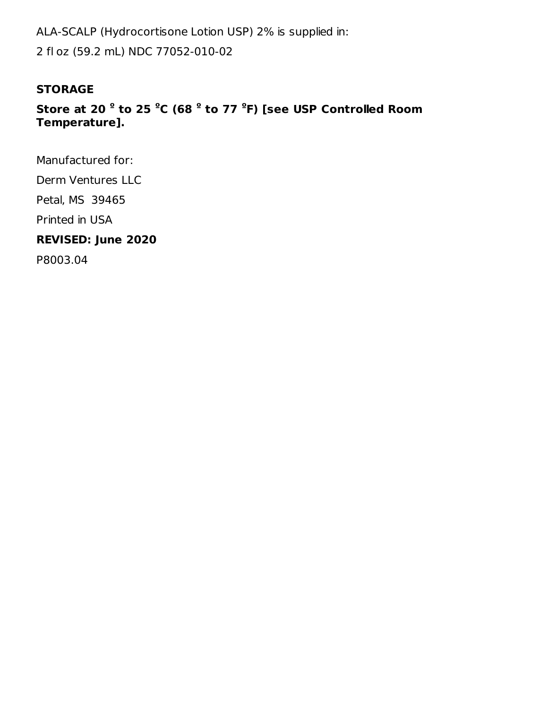ALA-SCALP (Hydrocortisone Lotion USP) 2% is supplied in: 2 fl oz (59.2 mL) NDC 77052-010-02

#### **STORAGE**

## **Store at 20 to 25 C (68 to 77 F) [see USP Controlled Room º º º ºTemperature].**

Manufactured for:

Derm Ventures LLC

Petal, MS 39465

Printed in USA

### **REVISED: June 2020**

P8003.04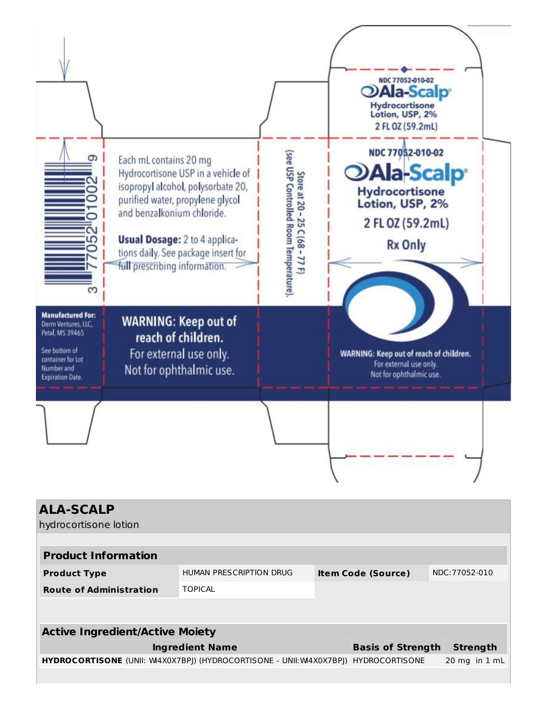

| <b>ALA-SCALP</b>                                                          |                         |                           |                          |                                   |  |  |
|---------------------------------------------------------------------------|-------------------------|---------------------------|--------------------------|-----------------------------------|--|--|
| hydrocortisone lotion                                                     |                         |                           |                          |                                   |  |  |
|                                                                           |                         |                           |                          |                                   |  |  |
| <b>Product Information</b>                                                |                         |                           |                          |                                   |  |  |
| <b>Product Type</b>                                                       | HUMAN PRESCRIPTION DRUG | <b>Item Code (Source)</b> | NDC: 77052-010           |                                   |  |  |
| <b>Route of Administration</b>                                            | <b>TOPICAL</b>          |                           |                          |                                   |  |  |
|                                                                           |                         |                           |                          |                                   |  |  |
| <b>Active Ingredient/Active Moiety</b>                                    |                         |                           |                          |                                   |  |  |
|                                                                           | <b>Ingredient Name</b>  |                           | <b>Basis of Strength</b> | <b>Strength</b>                   |  |  |
| <b>HYDROCORTISONE</b> (UNII: W4X0X7BPJ) (HYDROCORTISONE - UNII:W4X0X7BPJ) |                         |                           | <b>HYDROCORTISONE</b>    | $20 \text{ mg}$ in $1 \text{ mL}$ |  |  |